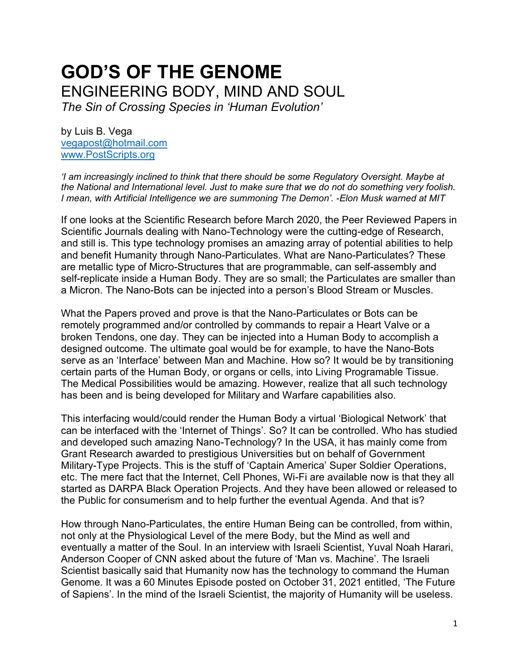# **GOD'S OF THE GENOME** ENGINEERING BODY, MIND AND SOUL *The Sin of Crossing Species in 'Human Evolution'*

by Luis B. Vega [vegapost@hotmail.com](mailto:vegapost@hotmail.com) [www.PostScripts.org](http://www.postscripts.org/)

*'I am increasingly inclined to think that there should be some Regulatory Oversight. Maybe at the National and International level. Just to make sure that we do not do something very foolish. I mean, with Artificial Intelligence we are summoning The Demon'. -Elon Musk warned at MIT*

If one looks at the Scientific Research before March 2020, the Peer Reviewed Papers in Scientific Journals dealing with Nano-Technology were the cutting-edge of Research, and still is. This type technology promises an amazing array of potential abilities to help and benefit Humanity through Nano-Particulates. What are Nano-Particulates? These are metallic type of Micro-Structures that are programmable, can self-assembly and self-replicate inside a Human Body. They are so small; the Particulates are smaller than a Micron. The Nano-Bots can be injected into a person's Blood Stream or Muscles.

What the Papers proved and prove is that the Nano-Particulates or Bots can be remotely programmed and/or controlled by commands to repair a Heart Valve or a broken Tendons, one day. They can be injected into a Human Body to accomplish a designed outcome. The ultimate goal would be for example, to have the Nano-Bots serve as an 'Interface' between Man and Machine. How so? It would be by transitioning certain parts of the Human Body, or organs or cells, into Living Programable Tissue. The Medical Possibilities would be amazing. However, realize that all such technology has been and is being developed for Military and Warfare capabilities also.

This interfacing would/could render the Human Body a virtual 'Biological Network' that can be interfaced with the 'Internet of Things'. So? It can be controlled. Who has studied and developed such amazing Nano-Technology? In the USA, it has mainly come from Grant Research awarded to prestigious Universities but on behalf of Government Military-Type Projects. This is the stuff of 'Captain America' Super Soldier Operations, etc. The mere fact that the Internet, Cell Phones, Wi-Fi are available now is that they all started as DARPA Black Operation Projects. And they have been allowed or released to the Public for consumerism and to help further the eventual Agenda. And that is?

How through Nano-Particulates, the entire Human Being can be controlled, from within, not only at the Physiological Level of the mere Body, but the Mind as well and eventually a matter of the Soul. In an interview with Israeli Scientist, Yuval Noah Harari, Anderson Cooper of CNN asked about the future of 'Man vs. Machine'. The Israeli Scientist basically said that Humanity now has the technology to command the Human Genome. It was a 60 Minutes Episode posted on October 31, 2021 entitled, 'The Future of Sapiens'. In the mind of the Israeli Scientist, the majority of Humanity will be useless.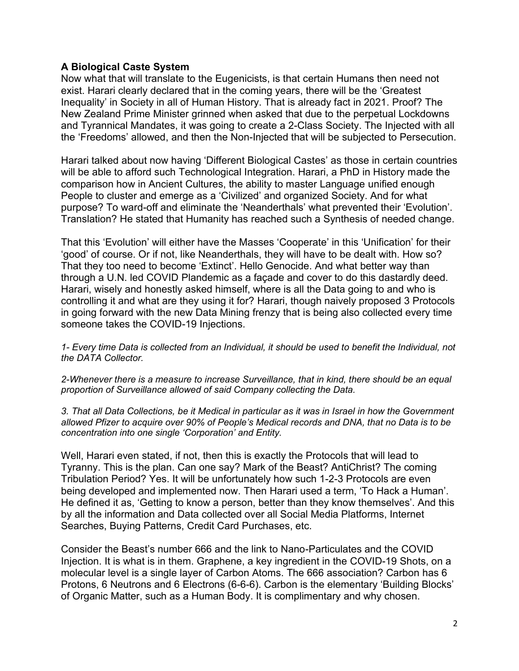# **A Biological Caste System**

Now what that will translate to the Eugenicists, is that certain Humans then need not exist. Harari clearly declared that in the coming years, there will be the 'Greatest Inequality' in Society in all of Human History. That is already fact in 2021. Proof? The New Zealand Prime Minister grinned when asked that due to the perpetual Lockdowns and Tyrannical Mandates, it was going to create a 2-Class Society. The Injected with all the 'Freedoms' allowed, and then the Non-Injected that will be subjected to Persecution.

Harari talked about now having 'Different Biological Castes' as those in certain countries will be able to afford such Technological Integration. Harari, a PhD in History made the comparison how in Ancient Cultures, the ability to master Language unified enough People to cluster and emerge as a 'Civilized' and organized Society. And for what purpose? To ward-off and eliminate the 'Neanderthals' what prevented their 'Evolution'. Translation? He stated that Humanity has reached such a Synthesis of needed change.

That this 'Evolution' will either have the Masses 'Cooperate' in this 'Unification' for their 'good' of course. Or if not, like Neanderthals, they will have to be dealt with. How so? That they too need to become 'Extinct'. Hello Genocide. And what better way than through a U.N. led COVID Plandemic as a façade and cover to do this dastardly deed. Harari, wisely and honestly asked himself, where is all the Data going to and who is controlling it and what are they using it for? Harari, though naively proposed 3 Protocols in going forward with the new Data Mining frenzy that is being also collected every time someone takes the COVID-19 Injections.

*1- Every time Data is collected from an Individual, it should be used to benefit the Individual, not the DATA Collector.*

*2-Whenever there is a measure to increase Surveillance, that in kind, there should be an equal proportion of Surveillance allowed of said Company collecting the Data.*

*3. That all Data Collections, be it Medical in particular as it was in Israel in how the Government allowed Pfizer to acquire over 90% of People's Medical records and DNA, that no Data is to be concentration into one single 'Corporation' and Entity.*

Well, Harari even stated, if not, then this is exactly the Protocols that will lead to Tyranny. This is the plan. Can one say? Mark of the Beast? AntiChrist? The coming Tribulation Period? Yes. It will be unfortunately how such 1-2-3 Protocols are even being developed and implemented now. Then Harari used a term, 'To Hack a Human'. He defined it as, 'Getting to know a person, better than they know themselves'. And this by all the information and Data collected over all Social Media Platforms, Internet Searches, Buying Patterns, Credit Card Purchases, etc.

Consider the Beast's number 666 and the link to Nano-Particulates and the COVID Injection. It is what is in them. Graphene, a key ingredient in the COVID-19 Shots, on a molecular level is a single layer of Carbon Atoms. The 666 association? Carbon has 6 Protons, 6 Neutrons and 6 Electrons (6-6-6). Carbon is the elementary 'Building Blocks' of Organic Matter, such as a Human Body. It is complimentary and why chosen.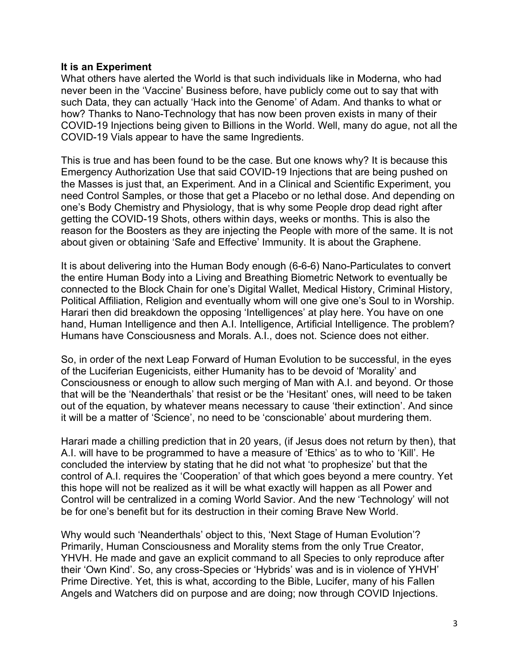# **It is an Experiment**

What others have alerted the World is that such individuals like in Moderna, who had never been in the 'Vaccine' Business before, have publicly come out to say that with such Data, they can actually 'Hack into the Genome' of Adam. And thanks to what or how? Thanks to Nano-Technology that has now been proven exists in many of their COVID-19 Injections being given to Billions in the World. Well, many do ague, not all the COVID-19 Vials appear to have the same Ingredients.

This is true and has been found to be the case. But one knows why? It is because this Emergency Authorization Use that said COVID-19 Injections that are being pushed on the Masses is just that, an Experiment. And in a Clinical and Scientific Experiment, you need Control Samples, or those that get a Placebo or no lethal dose. And depending on one's Body Chemistry and Physiology, that is why some People drop dead right after getting the COVID-19 Shots, others within days, weeks or months. This is also the reason for the Boosters as they are injecting the People with more of the same. It is not about given or obtaining 'Safe and Effective' Immunity. It is about the Graphene.

It is about delivering into the Human Body enough (6-6-6) Nano-Particulates to convert the entire Human Body into a Living and Breathing Biometric Network to eventually be connected to the Block Chain for one's Digital Wallet, Medical History, Criminal History, Political Affiliation, Religion and eventually whom will one give one's Soul to in Worship. Harari then did breakdown the opposing 'Intelligences' at play here. You have on one hand, Human Intelligence and then A.I. Intelligence, Artificial Intelligence. The problem? Humans have Consciousness and Morals. A.I., does not. Science does not either.

So, in order of the next Leap Forward of Human Evolution to be successful, in the eyes of the Luciferian Eugenicists, either Humanity has to be devoid of 'Morality' and Consciousness or enough to allow such merging of Man with A.I. and beyond. Or those that will be the 'Neanderthals' that resist or be the 'Hesitant' ones, will need to be taken out of the equation, by whatever means necessary to cause 'their extinction'. And since it will be a matter of 'Science', no need to be 'conscionable' about murdering them.

Harari made a chilling prediction that in 20 years, (if Jesus does not return by then), that A.I. will have to be programmed to have a measure of 'Ethics' as to who to 'Kill'. He concluded the interview by stating that he did not what 'to prophesize' but that the control of A.I. requires the 'Cooperation' of that which goes beyond a mere country. Yet this hope will not be realized as it will be what exactly will happen as all Power and Control will be centralized in a coming World Savior. And the new 'Technology' will not be for one's benefit but for its destruction in their coming Brave New World.

Why would such 'Neanderthals' object to this, 'Next Stage of Human Evolution'? Primarily, Human Consciousness and Morality stems from the only True Creator, YHVH. He made and gave an explicit command to all Species to only reproduce after their 'Own Kind'. So, any cross-Species or 'Hybrids' was and is in violence of YHVH' Prime Directive. Yet, this is what, according to the Bible, Lucifer, many of his Fallen Angels and Watchers did on purpose and are doing; now through COVID Injections.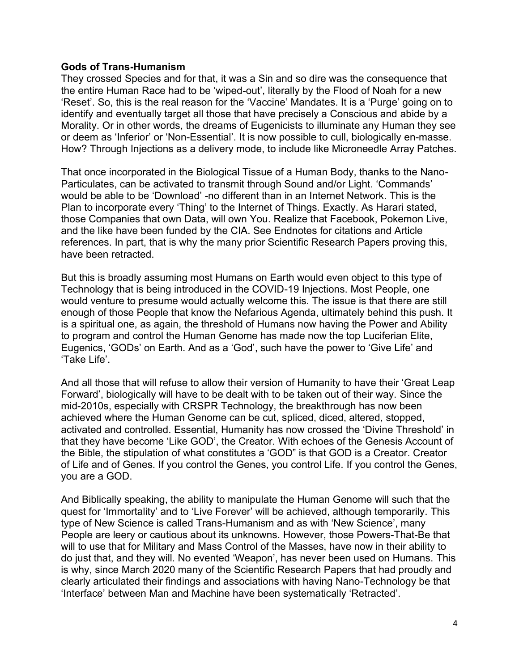# **Gods of Trans-Humanism**

They crossed Species and for that, it was a Sin and so dire was the consequence that the entire Human Race had to be 'wiped-out', literally by the Flood of Noah for a new 'Reset'. So, this is the real reason for the 'Vaccine' Mandates. It is a 'Purge' going on to identify and eventually target all those that have precisely a Conscious and abide by a Morality. Or in other words, the dreams of Eugenicists to illuminate any Human they see or deem as 'Inferior' or 'Non-Essential'. It is now possible to cull, biologically en-masse. How? Through Injections as a delivery mode, to include like Microneedle Array Patches.

That once incorporated in the Biological Tissue of a Human Body, thanks to the Nano-Particulates, can be activated to transmit through Sound and/or Light. 'Commands' would be able to be 'Download' -no different than in an Internet Network. This is the Plan to incorporate every 'Thing' to the Internet of Things. Exactly. As Harari stated, those Companies that own Data, will own You. Realize that Facebook, Pokemon Live, and the like have been funded by the CIA. See Endnotes for citations and Article references. In part, that is why the many prior Scientific Research Papers proving this, have been retracted.

But this is broadly assuming most Humans on Earth would even object to this type of Technology that is being introduced in the COVID-19 Injections. Most People, one would venture to presume would actually welcome this. The issue is that there are still enough of those People that know the Nefarious Agenda, ultimately behind this push. It is a spiritual one, as again, the threshold of Humans now having the Power and Ability to program and control the Human Genome has made now the top Luciferian Elite, Eugenics, 'GODs' on Earth. And as a 'God', such have the power to 'Give Life' and 'Take Life'.

And all those that will refuse to allow their version of Humanity to have their 'Great Leap Forward', biologically will have to be dealt with to be taken out of their way. Since the mid-2010s, especially with CRSPR Technology, the breakthrough has now been achieved where the Human Genome can be cut, spliced, diced, altered, stopped, activated and controlled. Essential, Humanity has now crossed the 'Divine Threshold' in that they have become 'Like GOD', the Creator. With echoes of the Genesis Account of the Bible, the stipulation of what constitutes a 'GOD" is that GOD is a Creator. Creator of Life and of Genes. If you control the Genes, you control Life. If you control the Genes, you are a GOD.

And Biblically speaking, the ability to manipulate the Human Genome will such that the quest for 'Immortality' and to 'Live Forever' will be achieved, although temporarily. This type of New Science is called Trans-Humanism and as with 'New Science', many People are leery or cautious about its unknowns. However, those Powers-That-Be that will to use that for Military and Mass Control of the Masses, have now in their ability to do just that, and they will. No evented 'Weapon', has never been used on Humans. This is why, since March 2020 many of the Scientific Research Papers that had proudly and clearly articulated their findings and associations with having Nano-Technology be that 'Interface' between Man and Machine have been systematically 'Retracted'.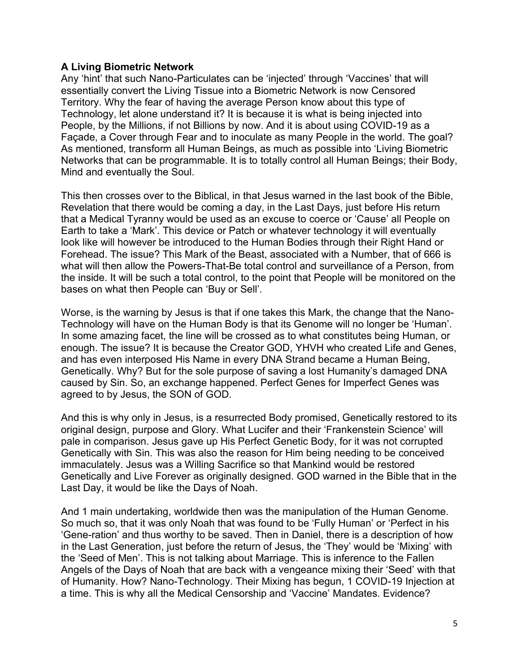# **A Living Biometric Network**

Any 'hint' that such Nano-Particulates can be 'injected' through 'Vaccines' that will essentially convert the Living Tissue into a Biometric Network is now Censored Territory. Why the fear of having the average Person know about this type of Technology, let alone understand it? It is because it is what is being injected into People, by the Millions, if not Billions by now. And it is about using COVID-19 as a Façade, a Cover through Fear and to inoculate as many People in the world. The goal? As mentioned, transform all Human Beings, as much as possible into 'Living Biometric Networks that can be programmable. It is to totally control all Human Beings; their Body, Mind and eventually the Soul.

This then crosses over to the Biblical, in that Jesus warned in the last book of the Bible, Revelation that there would be coming a day, in the Last Days, just before His return that a Medical Tyranny would be used as an excuse to coerce or 'Cause' all People on Earth to take a 'Mark'. This device or Patch or whatever technology it will eventually look like will however be introduced to the Human Bodies through their Right Hand or Forehead. The issue? This Mark of the Beast, associated with a Number, that of 666 is what will then allow the Powers-That-Be total control and surveillance of a Person, from the inside. It will be such a total control, to the point that People will be monitored on the bases on what then People can 'Buy or Sell'.

Worse, is the warning by Jesus is that if one takes this Mark, the change that the Nano-Technology will have on the Human Body is that its Genome will no longer be 'Human'. In some amazing facet, the line will be crossed as to what constitutes being Human, or enough. The issue? It is because the Creator GOD, YHVH who created Life and Genes, and has even interposed His Name in every DNA Strand became a Human Being, Genetically. Why? But for the sole purpose of saving a lost Humanity's damaged DNA caused by Sin. So, an exchange happened. Perfect Genes for Imperfect Genes was agreed to by Jesus, the SON of GOD.

And this is why only in Jesus, is a resurrected Body promised, Genetically restored to its original design, purpose and Glory. What Lucifer and their 'Frankenstein Science' will pale in comparison. Jesus gave up His Perfect Genetic Body, for it was not corrupted Genetically with Sin. This was also the reason for Him being needing to be conceived immaculately. Jesus was a Willing Sacrifice so that Mankind would be restored Genetically and Live Forever as originally designed. GOD warned in the Bible that in the Last Day, it would be like the Days of Noah.

And 1 main undertaking, worldwide then was the manipulation of the Human Genome. So much so, that it was only Noah that was found to be 'Fully Human' or 'Perfect in his 'Gene-ration' and thus worthy to be saved. Then in Daniel, there is a description of how in the Last Generation, just before the return of Jesus, the 'They' would be 'Mixing' with the 'Seed of Men'. This is not talking about Marriage. This is inference to the Fallen Angels of the Days of Noah that are back with a vengeance mixing their 'Seed' with that of Humanity. How? Nano-Technology. Their Mixing has begun, 1 COVID-19 Injection at a time. This is why all the Medical Censorship and 'Vaccine' Mandates. Evidence?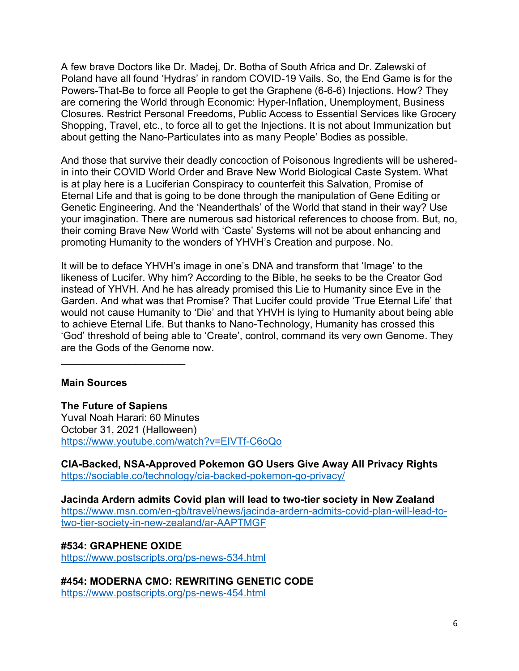A few brave Doctors like Dr. Madej, Dr. Botha of South Africa and Dr. Zalewski of Poland have all found 'Hydras' in random COVID-19 Vails. So, the End Game is for the Powers-That-Be to force all People to get the Graphene (6-6-6) Injections. How? They are cornering the World through Economic: Hyper-Inflation, Unemployment, Business Closures. Restrict Personal Freedoms, Public Access to Essential Services like Grocery Shopping, Travel, etc., to force all to get the Injections. It is not about Immunization but about getting the Nano-Particulates into as many People' Bodies as possible.

And those that survive their deadly concoction of Poisonous Ingredients will be usheredin into their COVID World Order and Brave New World Biological Caste System. What is at play here is a Luciferian Conspiracy to counterfeit this Salvation, Promise of Eternal Life and that is going to be done through the manipulation of Gene Editing or Genetic Engineering. And the 'Neanderthals' of the World that stand in their way? Use your imagination. There are numerous sad historical references to choose from. But, no, their coming Brave New World with 'Caste' Systems will not be about enhancing and promoting Humanity to the wonders of YHVH's Creation and purpose. No.

It will be to deface YHVH's image in one's DNA and transform that 'Image' to the likeness of Lucifer. Why him? According to the Bible, he seeks to be the Creator God instead of YHVH. And he has already promised this Lie to Humanity since Eve in the Garden. And what was that Promise? That Lucifer could provide 'True Eternal Life' that would not cause Humanity to 'Die' and that YHVH is lying to Humanity about being able to achieve Eternal Life. But thanks to Nano-Technology, Humanity has crossed this 'God' threshold of being able to 'Create', control, command its very own Genome. They are the Gods of the Genome now.

## **Main Sources**

 $\overline{\phantom{a}}$  , and the set of the set of the set of the set of the set of the set of the set of the set of the set of the set of the set of the set of the set of the set of the set of the set of the set of the set of the s

**The Future of Sapiens** Yuval Noah Harari: 60 Minutes October 31, 2021 (Halloween) <https://www.youtube.com/watch?v=EIVTf-C6oQo>

**CIA-Backed, NSA-Approved Pokemon GO Users Give Away All Privacy Rights** <https://sociable.co/technology/cia-backed-pokemon-go-privacy/>

**Jacinda Ardern admits Covid plan will lead to two-tier society in New Zealand**  [https://www.msn.com/en-gb/travel/news/jacinda-ardern-admits-covid-plan-will-lead-to](https://www.msn.com/en-gb/travel/news/jacinda-ardern-admits-covid-plan-will-lead-to-two-tier-society-in-new-zealand/ar-AAPTMGF)[two-tier-society-in-new-zealand/ar-AAPTMGF](https://www.msn.com/en-gb/travel/news/jacinda-ardern-admits-covid-plan-will-lead-to-two-tier-society-in-new-zealand/ar-AAPTMGF)

#### **#534: GRAPHENE OXIDE** <https://www.postscripts.org/ps-news-534.html>

**#454: MODERNA CMO: REWRITING GENETIC CODE** <https://www.postscripts.org/ps-news-454.html>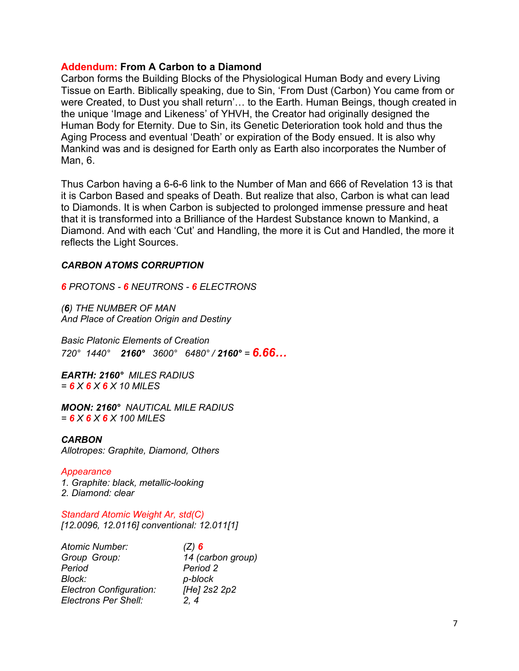## **Addendum: From A Carbon to a Diamond**

Carbon forms the Building Blocks of the Physiological Human Body and every Living Tissue on Earth. Biblically speaking, due to Sin, 'From Dust (Carbon) You came from or were Created, to Dust you shall return'… to the Earth. Human Beings, though created in the unique 'Image and Likeness' of YHVH, the Creator had originally designed the Human Body for Eternity. Due to Sin, its Genetic Deterioration took hold and thus the Aging Process and eventual 'Death' or expiration of the Body ensued. It is also why Mankind was and is designed for Earth only as Earth also incorporates the Number of Man, 6.

Thus Carbon having a 6-6-6 link to the Number of Man and 666 of Revelation 13 is that it is Carbon Based and speaks of Death. But realize that also, Carbon is what can lead to Diamonds. It is when Carbon is subjected to prolonged immense pressure and heat that it is transformed into a Brilliance of the Hardest Substance known to Mankind, a Diamond. And with each 'Cut' and Handling, the more it is Cut and Handled, the more it reflects the Light Sources.

#### *CARBON ATOMS CORRUPTION*

*6 PROTONS - 6 NEUTRONS - 6 ELECTRONS*

*(6) THE NUMBER OF MAN And Place of Creation Origin and Destiny*

*Basic Platonic Elements of Creation 720° 1440° 2160° 3600° 6480° / 2160° = 6.66…*

*EARTH: 2160° MILES RADIUS = 6 X 6 X 6 X 10 MILES*

*MOON: 2160° NAUTICAL MILE RADIUS = 6 X 6 X 6 X 100 MILES*

#### *CARBON*

*Allotropes: Graphite, Diamond, Others*

#### *Appearance*

*1. Graphite: black, metallic-looking 2. Diamond: clear*

*Standard Atomic Weight Ar, std(C) [12.0096, 12.0116] conventional: 12.011[1]*

| <b>Atomic Number:</b>          | $(Z)$ 6           |
|--------------------------------|-------------------|
| Group Group:                   | 14 (carbon group) |
| Period                         | Period 2          |
| Block:                         | p-block           |
| <b>Electron Configuration:</b> | [He] 2s2 2p2      |
| Electrons Per Shell:           | 2.4               |